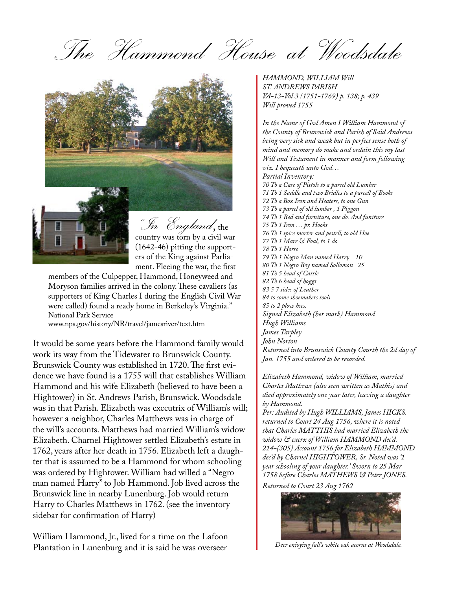The Hammond House at Woodsdale





"In England, the country was torn by a civil war (1642-46) pitting the supporters of the King against Parliament. Fleeing the war, the first

members of the Culpepper, Hammond, Honeyweed and Moryson families arrived in the colony. These cavaliers (as supporters of King Charles I during the English Civil War were called) found a ready home in Berkeley's Virginia." National Park Service

www.nps.gov/history/NR/travel/jamesriver/text.htm

It would be some years before the Hammond family would work its way from the Tidewater to Brunswick County. Brunswick County was established in 1720. The first evidence we have found is a 1755 will that establishes William Hammond and his wife Elizabeth (believed to have been a Hightower) in St. Andrews Parish, Brunswick. Woodsdale was in that Parish. Elizabeth was executrix of William's will; however a neighbor, Charles Matthews was in charge of the will's accounts. Matthews had married William's widow Elizabeth. Charnel Hightower settled Elizabeth's estate in 1762, years after her death in 1756. Elizabeth left a daughter that is assumed to be a Hammond for whom schooling was ordered by Hightower. William had willed a "Negro man named Harry" to Job Hammond. Job lived across the Brunswick line in nearby Lunenburg. Job would return Harry to Charles Matthews in 1762. (see the inventory sidebar for confirmation of Harry)

William Hammond, Jr., lived for a time on the Lafoon Plantation in Lunenburg and it is said he was overseer

*HAMMOND, WILLIAM Will ST. ANDREWS PARISH VA-13-Vol 3 (1751-1769) p. 138; p. 439 Will proved 1755*

*In the Name of God Amen I William Hammond of the County of Brunswick and Parish of Said Andrews being very sick and weak but in perfect sense both of mind and memory do make and ordain this my last Will and Testament in manner and form following viz. I bequeath unto God… Partial Inventory: 70 To a Case of Pistols to a parcel old Lumber 71 To 1 Saddle and two Bridles to a parcell of Books 72 To a Box Iron and Heaters, to one Gun 73 To a parcel of old lumber , 1 Piggon 74 To 1 Bed and furniture, one do. And funiture 75 To 1 Iron … pr. Hooks 76 To 1 spice morter and pestell, to old Hoe 77 To 1 Mare & Foal, to 1 do 78 To 1 Horse 79 To 1 Negro Man named Harry 10 80 To 1 Negro Boy named Sollomon 25 81 To 5 head of Cattle 82 To 6 head of hoggs 83 5 7 sides of Leather 84 to some shoemakers tools 85 to 2 plow hses. Signed Elizabeth (her mark) Hammond Hugh Williams James Tarpley John Norton Returned into Brunswick County Courth the 2d day of Jan. 1755 and ordered to be recorded.*

*Elizabeth Hammond, widow of William, married Charles Mathews (also seen written as Mathis) and died approximately one year later, leaving a daughter by Hammond.* 

*Per: Audited by Hugh WILLIAMS, James HICKS. returned to Court 24 Aug 1756, where it is noted that Charles MATTHIS had married Elizabeth the widow & excrx of William HAMMOND dec'd. 214-(305) Account 1756 for Elizabeth HAMMOND dec'd by Charnel HIGHTOWER, Sr. Noted was '1 year schooling of your daughter.' Sworn to 25 Mar 1758 before Charles MATHEWS & Peter JONES. Returned to Court 23 Aug 1762*

*Deer enjoying fall's white oak acorns at Woodsdale.*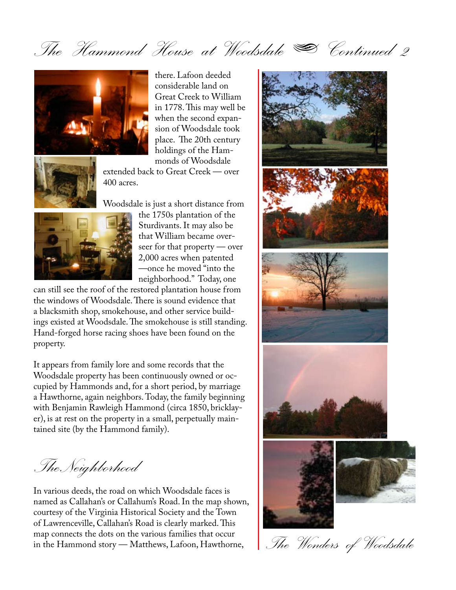The Hammond House at Woodsdale  $\blacktriangleright$  Continued 2



there. Lafoon deeded considerable land on Great Creek to William in 1778. This may well be when the second expansion of Woodsdale took place. The 20th century holdings of the Hammonds of Woodsdale

extended back to Great Creek — over 400 acres.

Woodsdale is just a short distance from



the 1750s plantation of the Sturdivants. It may also be that William became overseer for that property — over 2,000 acres when patented —once he moved "into the neighborhood." Today, one

can still see the roof of the restored plantation house from the windows of Woodsdale. There is sound evidence that a blacksmith shop, smokehouse, and other service buildings existed at Woodsdale. The smokehouse is still standing. Hand-forged horse racing shoes have been found on the property.

It appears from family lore and some records that the Woodsdale property has been continuously owned or occupied by Hammonds and, for a short period, by marriage a Hawthorne, again neighbors. Today, the family beginning with Benjamin Rawleigh Hammond (circa 1850, bricklayer), is at rest on the property in a small, perpetually maintained site (by the Hammond family).

The Neighborhood

In various deeds, the road on which Woodsdale faces is named as Callahan's or Callahum's Road. In the map shown, courtesy of the Virginia Historical Society and the Town of Lawrenceville, Callahan's Road is clearly marked. This map connects the dots on the various families that occur in the Hammond story — Matthews, Lafoon, Hawthorne,



The Wonders of Woodsdale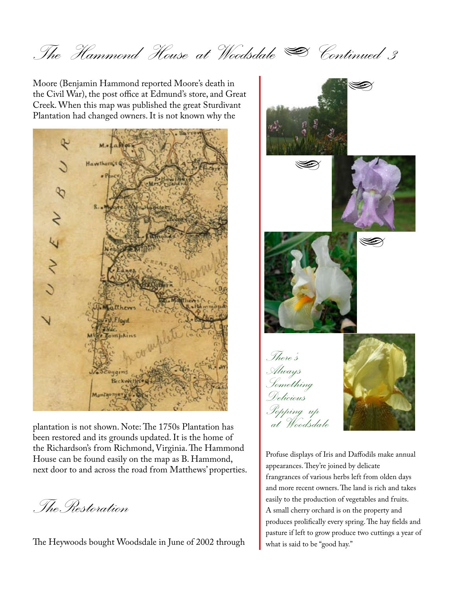The Hammond House at Woodsdale  $\clubsuit$  Continued 3

Moore (Benjamin Hammond reported Moore's death in the Civil War), the post office at Edmund's store, and Great Creek. When this map was published the great Sturdivant Plantation had changed owners. It is not known why the



plantation is not shown. Note: The 1750s Plantation has been restored and its grounds updated. It is the home of the Richardson's from Richmond, Virginia. The Hammond House can be found easily on the map as B. Hammond, next door to and across the road from Matthews' properties.

The Restoration

The Heywoods bought Woodsdale in June of 2002 through



Profuse displays of Iris and Daffodils make annual appearances. They're joined by delicate frangrances of various herbs left from olden days and more recent owners. The land is rich and takes easily to the production of vegetables and fruits. A small cherry orchard is on the property and produces prolifically every spring. The hay fields and pasture if left to grow produce two cuttings a year of what is said to be "good hay."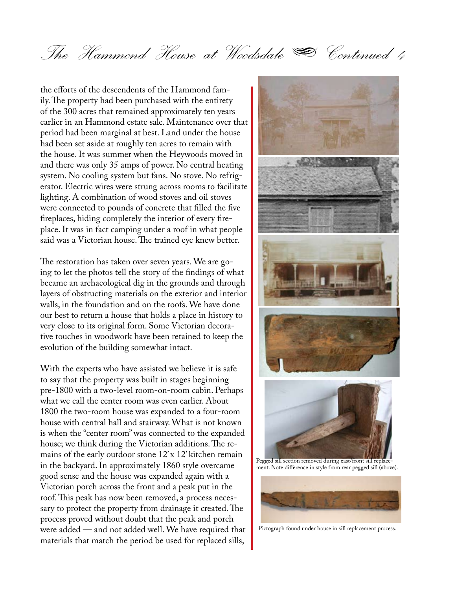The Hammond House at Woodsdale  $\clubsuit$  Continued 4

the efforts of the descendents of the Hammond family. The property had been purchased with the entirety of the 300 acres that remained approximately ten years earlier in an Hammond estate sale. Maintenance over that period had been marginal at best. Land under the house had been set aside at roughly ten acres to remain with the house. It was summer when the Heywoods moved in and there was only 35 amps of power. No central heating system. No cooling system but fans. No stove. No refrigerator. Electric wires were strung across rooms to facilitate lighting. A combination of wood stoves and oil stoves were connected to pounds of concrete that filled the five fireplaces, hiding completely the interior of every fireplace. It was in fact camping under a roof in what people said was a Victorian house. The trained eye knew better.

The restoration has taken over seven years. We are going to let the photos tell the story of the findings of what became an archaeological dig in the grounds and through layers of obstructing materials on the exterior and interior walls, in the foundation and on the roofs. We have done our best to return a house that holds a place in history to very close to its original form. Some Victorian decorative touches in woodwork have been retained to keep the evolution of the building somewhat intact.

With the experts who have assisted we believe it is safe to say that the property was built in stages beginning pre-1800 with a two-level room-on-room cabin. Perhaps what we call the center room was even earlier. About 1800 the two-room house was expanded to a four-room house with central hall and stairway. What is not known is when the "center room" was connected to the expanded house; we think during the Victorian additions. The remains of the early outdoor stone 12' x 12' kitchen remain in the backyard. In approximately 1860 style overcame good sense and the house was expanded again with a Victorian porch across the front and a peak put in the roof. This peak has now been removed, a process necessary to protect the property from drainage it created. The process proved without doubt that the peak and porch were added — and not added well. We have required that materials that match the period be used for replaced sills,



Pegged sill section removed during east/front sill replacement. Note difference in style from rear pegged sill (above).



Pictograph found under house in sill replacement process.